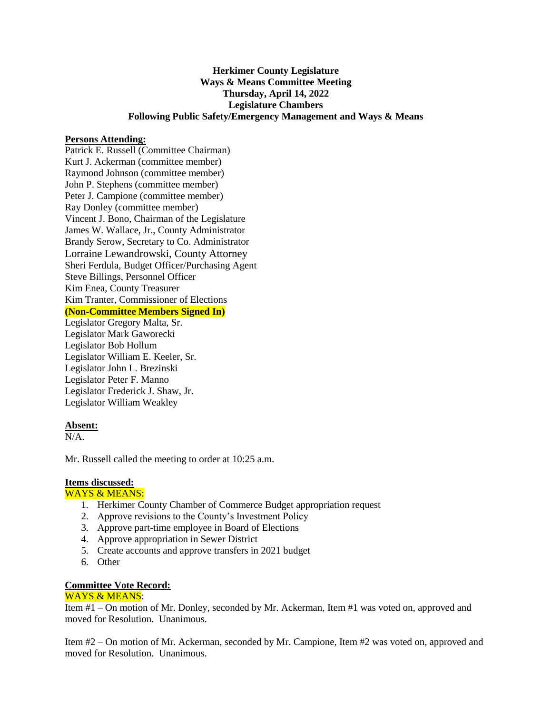# **Herkimer County Legislature Ways & Means Committee Meeting Thursday, April 14, 2022 Legislature Chambers Following Public Safety/Emergency Management and Ways & Means**

#### **Persons Attending:**

Patrick E. Russell (Committee Chairman) Kurt J. Ackerman (committee member) Raymond Johnson (committee member) John P. Stephens (committee member) Peter J. Campione (committee member) Ray Donley (committee member) Vincent J. Bono, Chairman of the Legislature James W. Wallace, Jr., County Administrator Brandy Serow, Secretary to Co. Administrator Lorraine Lewandrowski, County Attorney Sheri Ferdula, Budget Officer/Purchasing Agent Steve Billings, Personnel Officer Kim Enea, County Treasurer Kim Tranter, Commissioner of Elections **(Non-Committee Members Signed In)**

Legislator Gregory Malta, Sr. Legislator Mark Gaworecki Legislator Bob Hollum Legislator William E. Keeler, Sr. Legislator John L. Brezinski Legislator Peter F. Manno Legislator Frederick J. Shaw, Jr. Legislator William Weakley

## **Absent:**

N/A.

Mr. Russell called the meeting to order at 10:25 a.m.

## **Items discussed:**

#### WAYS & MEANS:

- 1. Herkimer County Chamber of Commerce Budget appropriation request
- 2. Approve revisions to the County's Investment Policy
- 3. Approve part-time employee in Board of Elections
- 4. Approve appropriation in Sewer District
- 5. Create accounts and approve transfers in 2021 budget
- 6. Other

## **Committee Vote Record:**

## WAYS & MEANS:

Item #1 – On motion of Mr. Donley, seconded by Mr. Ackerman, Item #1 was voted on, approved and moved for Resolution. Unanimous.

Item #2 – On motion of Mr. Ackerman, seconded by Mr. Campione, Item #2 was voted on, approved and moved for Resolution. Unanimous.